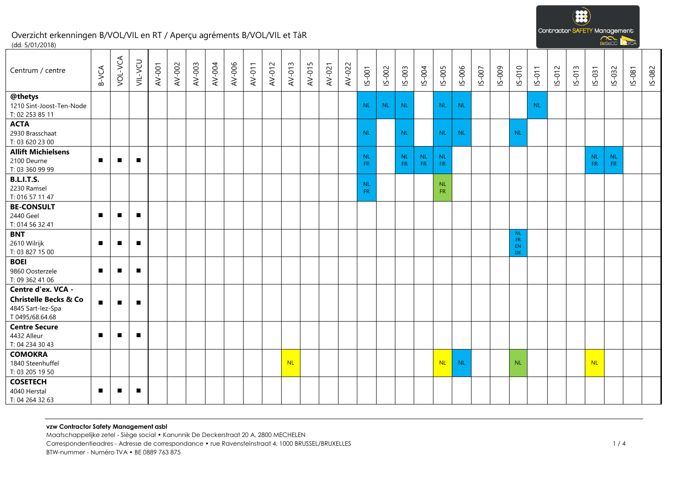**B** Contractor SAFETY Management  $\sum_{R\in\mathcal{R}}$ 

**DVCA** 

### Overzicht erkenningen B/VOL/VIL en RT / Aperçu agréments B/VOL/VIL et TàR (dd. 5/01/2018)

| Centrum / centre                                                                               | B-VCA          | VOL-VCA        | VIL-VCU        | AV-001 | AV-002 | AV-003 | AV-004 | AV-006 | AV-011 | AV-012 | AV-013    | AV-015 | AV-021 | AV-022 | $15 - 001$             | IS-002    | IS-003    | IS-004          | IS-005                 | IS-006    | IS-007 | S-009 | $S-010$                            | $15 - 011$ | IS-012 | IS-013 | $S-031$   | IS-032                 | $15 - 081$ | IS-082 |
|------------------------------------------------------------------------------------------------|----------------|----------------|----------------|--------|--------|--------|--------|--------|--------|--------|-----------|--------|--------|--------|------------------------|-----------|-----------|-----------------|------------------------|-----------|--------|-------|------------------------------------|------------|--------|--------|-----------|------------------------|------------|--------|
| @thetys<br>1210 Sint-Joost-Ten-Node<br>T: 02 253 85 11                                         |                |                |                |        |        |        |        |        |        |        |           |        |        |        | NL.                    | <b>NL</b> | <b>NL</b> |                 | <b>NL</b>              | <b>NL</b> |        |       |                                    | <b>NL</b>  |        |        |           |                        |            |        |
| <b>ACTA</b><br>2930 Brasschaat<br>T: 03 620 23 00                                              |                |                |                |        |        |        |        |        |        |        |           |        |        |        | <b>NL</b>              |           | <b>NL</b> |                 | <b>NL</b>              | <b>NL</b> |        |       | <b>NL</b>                          |            |        |        |           |                        |            |        |
| <b>Allift Michielsens</b><br>2100 Deurne<br>T: 03 360 99 99                                    | п              | $\blacksquare$ | $\blacksquare$ |        |        |        |        |        |        |        |           |        |        |        | <b>NL</b><br><b>FR</b> |           | NL<br>FR. | <b>NL</b><br>FR | <b>NL</b><br>FR.       |           |        |       |                                    |            |        |        | NL<br>FR. | <b>NL</b><br><b>FR</b> |            |        |
| <b>B.L.I.T.S.</b><br>2230 Ramsel<br>T: 016 57 11 47                                            |                |                |                |        |        |        |        |        |        |        |           |        |        |        | <b>NL</b><br><b>FR</b> |           |           |                 | <b>NL</b><br><b>FR</b> |           |        |       |                                    |            |        |        |           |                        |            |        |
| <b>BE-CONSULT</b><br>2440 Geel<br>T: 014 56 32 41                                              | п              |                | п              |        |        |        |        |        |        |        |           |        |        |        |                        |           |           |                 |                        |           |        |       |                                    |            |        |        |           |                        |            |        |
| <b>BNT</b><br>2610 Wilrijk<br>T: 03 827 15 00                                                  | п              |                | п              |        |        |        |        |        |        |        |           |        |        |        |                        |           |           |                 |                        |           |        |       | <b>NL</b><br><b>FR</b><br>EN<br>DE |            |        |        |           |                        |            |        |
| <b>BOEI</b><br>9860 Oosterzele<br>T: 09 362 41 06                                              | п              |                | п              |        |        |        |        |        |        |        |           |        |        |        |                        |           |           |                 |                        |           |        |       |                                    |            |        |        |           |                        |            |        |
| Centre d'ex. VCA -<br><b>Christelle Becks &amp; Co</b><br>4845 Sart-lez-Spa<br>T 0495/68.64.68 | $\blacksquare$ | $\blacksquare$ | п              |        |        |        |        |        |        |        |           |        |        |        |                        |           |           |                 |                        |           |        |       |                                    |            |        |        |           |                        |            |        |
| <b>Centre Secure</b><br>4432 Alleur<br>T: 04 234 30 43                                         | п              |                | $\blacksquare$ |        |        |        |        |        |        |        |           |        |        |        |                        |           |           |                 |                        |           |        |       |                                    |            |        |        |           |                        |            |        |
| <b>COMOKRA</b><br>1840 Steenhuffel<br>T: 03 205 19 50                                          |                |                |                |        |        |        |        |        |        |        | <b>NL</b> |        |        |        |                        |           |           |                 | <b>NL</b>              | <b>NL</b> |        |       | <b>NL</b>                          |            |        |        | <b>NL</b> |                        |            |        |
| <b>COSETECH</b><br>4040 Herstal<br>T: 04 264 32 63                                             | $\blacksquare$ | $\blacksquare$ | $\blacksquare$ |        |        |        |        |        |        |        |           |        |        |        |                        |           |           |                 |                        |           |        |       |                                    |            |        |        |           |                        |            |        |

Maatschappelijke zetel - Siège social • Kanunnik De Deckerstraat 20 A, 2800 MECHELEN Correspondentieadres - Adresse de correspondance • rue Ravensteinstraat 4, 1000 BRUSSEL/BRUXELLES 1 / 4 BTW-nummer - Numéro TVA • BE 0889 763 875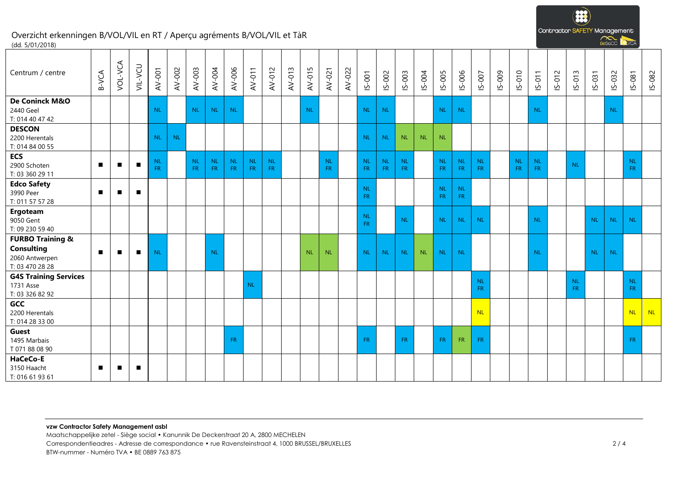$\overline{33}$ Contractor SAFETY Management Resort NCA

# Overzicht erkenningen B/VOL/VIL en RT / Aperçu agréments B/VOL/VIL et TàR (dd. 5/01/2018)

| Centrum / centre                                                                      | B-VCA          | VOL-VCA        | VIL-VCU        | AV-001          | AV-002    | AV-003           | AV-004           | AV-006                 | AV-011           | AV-012     | AV-013 | AV-015    | AV-021           | AV-022 | IS-001           | IS-002          | IS-003                 | IS-004    | IS-005                 | IS-006                 | $15 - 007$       | IS-009 | IS-010          | $IS-011$         | IS-012 | $15 - 013$             | IS-031    | IS-032    | IS-081                 | IS-082 |
|---------------------------------------------------------------------------------------|----------------|----------------|----------------|-----------------|-----------|------------------|------------------|------------------------|------------------|------------|--------|-----------|------------------|--------|------------------|-----------------|------------------------|-----------|------------------------|------------------------|------------------|--------|-----------------|------------------|--------|------------------------|-----------|-----------|------------------------|--------|
| De Coninck M&O<br>2440 Geel<br>T: 014 40 47 42                                        |                |                |                | <b>NL</b>       |           | <b>NL</b>        | <b>NL</b>        | <b>NL</b>              |                  |            |        | <b>NL</b> |                  |        | NL.              | <b>NL</b>       |                        |           | <b>NL</b>              | <b>NL</b>              |                  |        |                 | <b>NL</b>        |        |                        |           | <b>NL</b> |                        |        |
| <b>DESCON</b><br>2200 Herentals<br>T: 014 84 00 55                                    |                |                |                | <b>NL</b>       | <b>NL</b> |                  |                  |                        |                  |            |        |           |                  |        | <b>NL</b>        | <b>NL</b>       | <b>NL</b>              | <b>NL</b> | <b>NL</b>              |                        |                  |        |                 |                  |        |                        |           |           |                        |        |
| <b>ECS</b><br>2900 Schoten<br>T: 03 360 29 11                                         | $\blacksquare$ | $\blacksquare$ | $\blacksquare$ | NL<br><b>FR</b> |           | <b>NL</b><br>FR. | <b>NL</b><br>FR. | <b>NL</b><br><b>FR</b> | <b>NL</b><br>FR. | NL.<br>FR. |        |           | <b>NL</b><br>FR. |        | NL.<br>FR.       | <b>NL</b><br>FR | <b>NL</b><br><b>FR</b> |           | <b>NL</b><br><b>FR</b> | <b>NL</b><br><b>FR</b> | <b>NL</b><br>FR. |        | NL<br><b>FR</b> | <b>NL</b><br>FR. |        | <b>NL</b>              |           |           | <b>NL</b><br><b>FR</b> |        |
| <b>Edco Safety</b><br>3990 Peer<br>T: 011 57 57 28                                    | $\blacksquare$ | $\blacksquare$ | п              |                 |           |                  |                  |                        |                  |            |        |           |                  |        | <b>NL</b><br>FR. |                 |                        |           | <b>NL</b><br><b>FR</b> | <b>NL</b><br><b>FR</b> |                  |        |                 |                  |        |                        |           |           |                        |        |
| Ergoteam<br>9050 Gent<br>T: 09 230 59 40                                              |                |                |                |                 |           |                  |                  |                        |                  |            |        |           |                  |        | NL.<br><b>FR</b> |                 | <b>NL</b>              |           | <b>NL</b>              | <b>NL</b>              | <b>NL</b>        |        |                 | <b>NL</b>        |        |                        | <b>NL</b> | <b>NL</b> | <b>NL</b>              |        |
| <b>FURBO Training &amp;</b><br><b>Consulting</b><br>2060 Antwerpen<br>T: 03 470 28 28 | $\blacksquare$ | п              | п              | <b>NL</b>       |           |                  | <b>NL</b>        |                        |                  |            |        | <b>NL</b> | <b>NL</b>        |        | <b>NL</b>        | <b>NL</b>       | <b>NL</b>              | <b>NL</b> | <b>NL</b>              | <b>NL</b>              |                  |        |                 | <b>NL</b>        |        |                        | <b>NL</b> | <b>NL</b> |                        |        |
| <b>G4S Training Services</b><br>1731 Asse<br>T: 03 326 82 92                          |                |                |                |                 |           |                  |                  |                        | <b>NL</b>        |            |        |           |                  |        |                  |                 |                        |           |                        |                        | <b>NL</b><br>FR. |        |                 |                  |        | <b>NL</b><br><b>FR</b> |           |           | NL<br><b>FR</b>        |        |
| GCC<br>2200 Herentals<br>T: 014 28 33 00                                              |                |                |                |                 |           |                  |                  |                        |                  |            |        |           |                  |        |                  |                 |                        |           |                        |                        | <b>NL</b>        |        |                 |                  |        |                        |           |           | <b>NL</b>              | NL     |
| Guest<br>1495 Marbais<br>T 071 88 08 90                                               |                |                |                |                 |           |                  |                  | <b>FR</b>              |                  |            |        |           |                  |        | FR.              |                 | <b>FR</b>              |           | <b>FR</b>              | <b>FR</b>              | FR.              |        |                 |                  |        |                        |           |           | <b>FR</b>              |        |
| HaCeCo-E<br>3150 Haacht<br>T: 016 61 93 61                                            | $\blacksquare$ | п              | П              |                 |           |                  |                  |                        |                  |            |        |           |                  |        |                  |                 |                        |           |                        |                        |                  |        |                 |                  |        |                        |           |           |                        |        |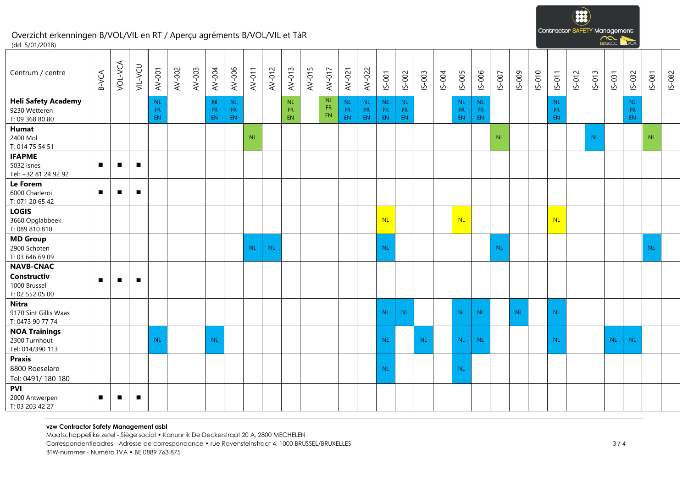

# Overzicht erkenningen B/VOL/VIL en RT / Aperçu agréments B/VOL/VIL et TàR (dd. 5/01/2018)

| Centrum / centre                                                   | B-VCA          | VOL-VCA        | VIL-VCU        | AV-001                      | AV-002 | AV-003 | AV-004                             | AV-006                 | AV-011    | AV-012    | AV-013                | AV-015 | AV-017                | AV-021          | AV-022                 | IS-001                         | IS-002                | IS-003    | IS-004 | $15 - 005$                   | IS-006                           | IS-007    | IS-009    | $15-010$ | $S-011$                      | $IS-012$ | IS-013    | IS-031    | $IS-032$                     | $15 - 081$ | IS-082 |
|--------------------------------------------------------------------|----------------|----------------|----------------|-----------------------------|--------|--------|------------------------------------|------------------------|-----------|-----------|-----------------------|--------|-----------------------|-----------------|------------------------|--------------------------------|-----------------------|-----------|--------|------------------------------|----------------------------------|-----------|-----------|----------|------------------------------|----------|-----------|-----------|------------------------------|------------|--------|
| <b>Heli Safety Academy</b><br>9230 Wetteren<br>T: 09 368 80 80     |                |                |                | $\sf NL$<br><b>FR</b><br>EN |        |        | N <sub>1</sub><br>FR.<br><b>EN</b> | NL<br>FR.<br><b>EN</b> |           |           | NL<br><b>FR</b><br>EN |        | <b>NL</b><br>FR<br>EN | NL<br>FR<br>EN. | <b>NL</b><br>FR.<br>EN | NL.<br><b>FR</b><br>${\sf EN}$ | NL<br><b>FR</b><br>EN |           |        | <b>NL</b><br><b>FR</b><br>EN | $\mathsf{NL}$<br><b>FR</b><br>EN |           |           |          | <b>NL</b><br><b>FR</b><br>EN |          |           |           | <b>NL</b><br><b>FR</b><br>EN |            |        |
| Humat<br>2400 Mol<br>T: 014 75 54 51                               |                |                |                |                             |        |        |                                    |                        | <b>NL</b> |           |                       |        |                       |                 |                        |                                |                       |           |        |                              |                                  | <b>NL</b> |           |          |                              |          | <b>NL</b> |           |                              | <b>NL</b>  |        |
| <b>IFAPME</b><br>5032 Isnes<br>Tel: +32 81 24 92 92                | $\blacksquare$ | $\blacksquare$ | $\blacksquare$ |                             |        |        |                                    |                        |           |           |                       |        |                       |                 |                        |                                |                       |           |        |                              |                                  |           |           |          |                              |          |           |           |                              |            |        |
| Le Forem<br>6000 Charleroi<br>T: 071 20 65 42                      | $\blacksquare$ | $\blacksquare$ | $\blacksquare$ |                             |        |        |                                    |                        |           |           |                       |        |                       |                 |                        |                                |                       |           |        |                              |                                  |           |           |          |                              |          |           |           |                              |            |        |
| <b>LOGIS</b><br>3660 Opglabbeek<br>T: 089 810 810                  |                |                |                |                             |        |        |                                    |                        |           |           |                       |        |                       |                 |                        | <b>NL</b>                      |                       |           |        | <b>NL</b>                    |                                  |           |           |          | <b>NL</b>                    |          |           |           |                              |            |        |
| <b>MD Group</b><br>2900 Schoten<br>T: 03 646 69 09                 |                |                |                |                             |        |        |                                    |                        | <b>NL</b> | <b>NL</b> |                       |        |                       |                 |                        | <b>NL</b>                      |                       |           |        |                              |                                  | <b>NL</b> |           |          |                              |          |           |           |                              | NL         |        |
| <b>NAVB-CNAC</b><br>Constructiv<br>1000 Brussel<br>T: 02 552 05 00 | $\blacksquare$ | п              | $\blacksquare$ |                             |        |        |                                    |                        |           |           |                       |        |                       |                 |                        |                                |                       |           |        |                              |                                  |           |           |          |                              |          |           |           |                              |            |        |
| <b>Nitra</b><br>9170 Sint Gillis Waas<br>T: 0473 90 77 74          |                |                |                |                             |        |        |                                    |                        |           |           |                       |        |                       |                 |                        | <b>NL</b>                      | <b>NL</b>             |           |        | <b>NL</b>                    | <b>NL</b>                        |           | <b>NL</b> |          | <b>NL</b>                    |          |           |           |                              |            |        |
| <b>NOA Trainings</b><br>2300 Turnhout<br>Tel: 014/390 113          |                |                |                | <b>NL</b>                   |        |        | <b>NL</b>                          |                        |           |           |                       |        |                       |                 |                        | <b>NL</b>                      |                       | <b>NL</b> |        | <b>NL</b>                    | <b>NL</b>                        |           |           |          | <b>NL</b>                    |          |           | <b>NL</b> | <b>NL</b>                    |            |        |
| <b>Praxis</b><br>8800 Roeselare<br>Tel: 0491/180 180               |                |                |                |                             |        |        |                                    |                        |           |           |                       |        |                       |                 |                        | <b>NL</b>                      |                       |           |        | <b>NL</b>                    |                                  |           |           |          |                              |          |           |           |                              |            |        |
| <b>PVI</b><br>2000 Antwerpen<br>T: 03 203 42 27                    | $\blacksquare$ | $\blacksquare$ | $\blacksquare$ |                             |        |        |                                    |                        |           |           |                       |        |                       |                 |                        |                                |                       |           |        |                              |                                  |           |           |          |                              |          |           |           |                              |            |        |

#### **vzw Contractor Safety Management asbl**

Maatschappelijke zetel - Siège social • Kanunnik De Deckerstraat 20 A, 2800 MECHELEN Correspondentieadres - Adresse de correspondance • rue Ravensteinstraat 4, 1000 BRUSSEL/BRUXELLES 3 / 4

BTW-nummer - Numéro TVA • BE 0889 763 875